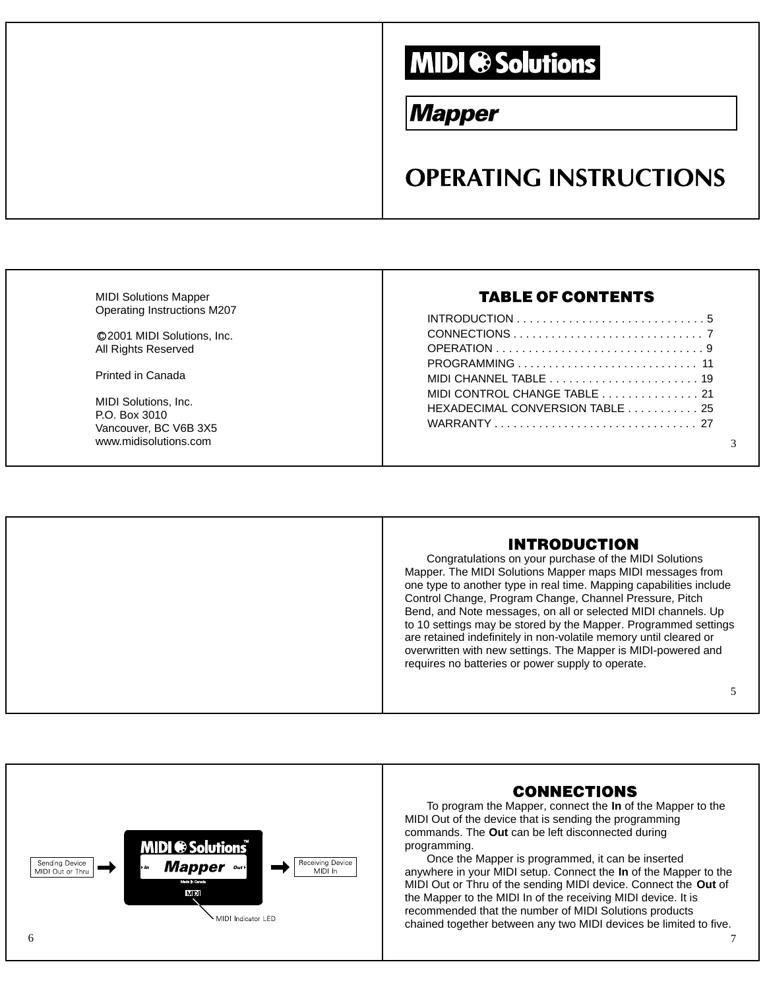# **MIDI ® Solutions**

# **Mapper**

# **OPERATING INSTRUCTIONS**

| <b>MIDI Solutions Mapper</b><br>Operating Instructions M207 | <b>TABLE OF CONTENTS</b>                                        |
|-------------------------------------------------------------|-----------------------------------------------------------------|
|                                                             |                                                                 |
| ©2001 MIDI Solutions, Inc.<br>All Rights Reserved           |                                                                 |
| <b>Printed in Canada</b>                                    |                                                                 |
| MIDI Solutions, Inc.<br>P.O. Box 3010                       | MIDI CONTROL CHANGE TABLE 21<br>HEXADECIMAL CONVERSION TABLE 25 |
| Vancouver, BC V6B 3X5<br>www.midisolutions.com              |                                                                 |

## **INTRODUCTION**

Congratulations on your purchase of the MIDI Solutions Mapper. The MIDI Solutions Mapper maps MIDI messages from one type to another type in real time. Mapping capabilities include Control Change, Program Change, Channel Pressure, Pitch Bend, and Note messages, on all or selected MIDI channels. Up to 10 settings may be stored by the Mapper. Programmed settings are retained indefinitely in non-volatile memory until cleared or overwritten with new settings. The Mapper is MIDI-powered and requires no batteries or power supply to operate.

5

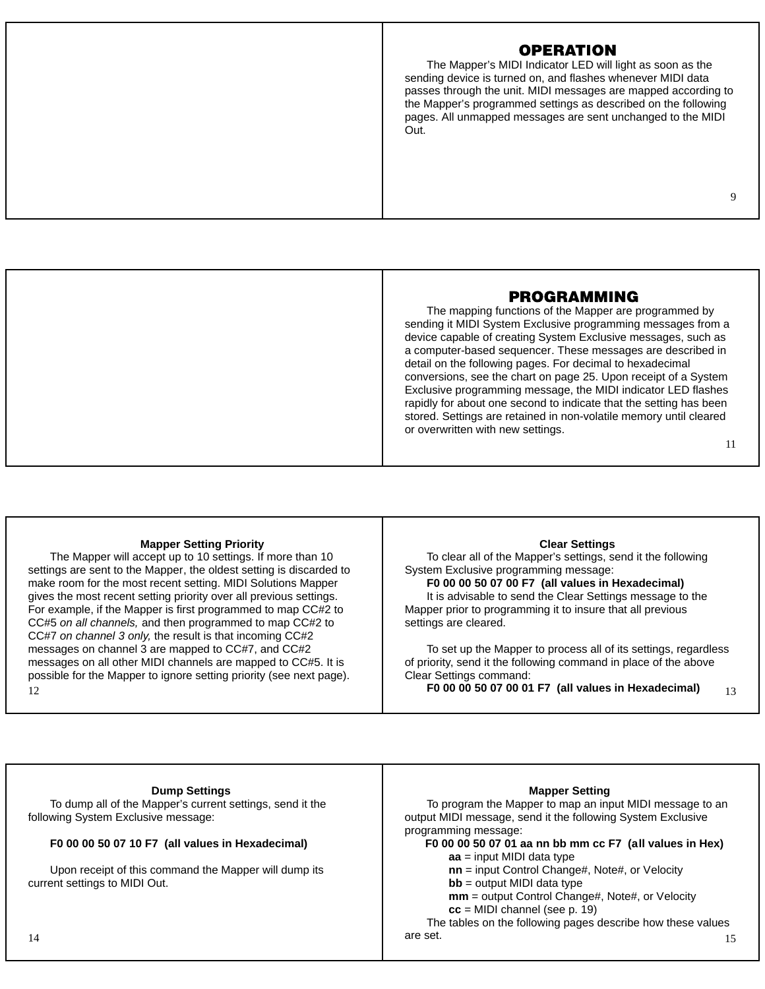### **OPERATION**

The Mapper's MIDI Indicator LED will light as soon as the sending device is turned on, and flashes whenever MIDI data passes through the unit. MIDI messages are mapped according to the Mapper's programmed settings as described on the following pages. All unmapped messages are sent unchanged to the MIDI Out.

# 9

### **PROGRAMMING**

The mapping functions of the Mapper are programmed by sending it MIDI System Exclusive programming messages from a device capable of creating System Exclusive messages, such as a computer-based sequencer. These messages are described in detail on the following pages. For decimal to hexadecimal conversions, see the chart on page 25. Upon receipt of a System Exclusive programming message, the MIDI indicator LED flashes rapidly for about one second to indicate that the setting has been stored. Settings are retained in non-volatile memory until cleared or overwritten with new settings.

#### 11

#### **Mapper Setting Priority**

The Mapper will accept up to 10 settings. If more than 10 settings are sent to the Mapper, the oldest setting is discarded to make room for the most recent setting. MIDI Solutions Mapper gives the most recent setting priority over all previous settings. For example, if the Mapper is first programmed to map CC#2 to CC#5 on all channels, and then programmed to map CC#2 to CC#7 on channel 3 only, the result is that incoming CC#2 messages on channel 3 are mapped to CC#7, and CC#2 messages on all other MIDI channels are mapped to CC#5. It is possible for the Mapper to ignore setting priority (see next page). 12

#### **Clear Settings**

To clear all of the Mapper's settings, send it the following System Exclusive programming message:

**F0 00 00 50 07 00 F7 (all values in Hexadecimal)** It is advisable to send the Clear Settings message to the Mapper prior to programming it to insure that all previous settings are cleared.

To set up the Mapper to process all of its settings, regardless of priority, send it the following command in place of the above Clear Settings command:

**F0 00 00 50 07 00 01 F7 (all values in Hexadecimal)** 13

### **Dump Settings** To dump all of the Mapper's current settings, send it the following System Exclusive message: **F0 00 00 50 07 10 F7 (all values in Hexadecimal)** programming message: **aa** = input MIDI data type

Upon receipt of this command the Mapper will dump its current settings to MIDI Out.

### **Mapper Setting**

To program the Mapper to map an input MIDI message to an output MIDI message, send it the following System Exclusive

**F0 00 00 50 07 01 aa nn bb mm cc F7 (all values in Hex)**

**nn** = input Control Change#, Note#, or Velocity **bb** = output MIDI data type

**mm** = output Control Change#, Note#, or Velocity **cc** = MIDI channel (see p. 19)

The tables on the following pages describe how these values 14 are set. 15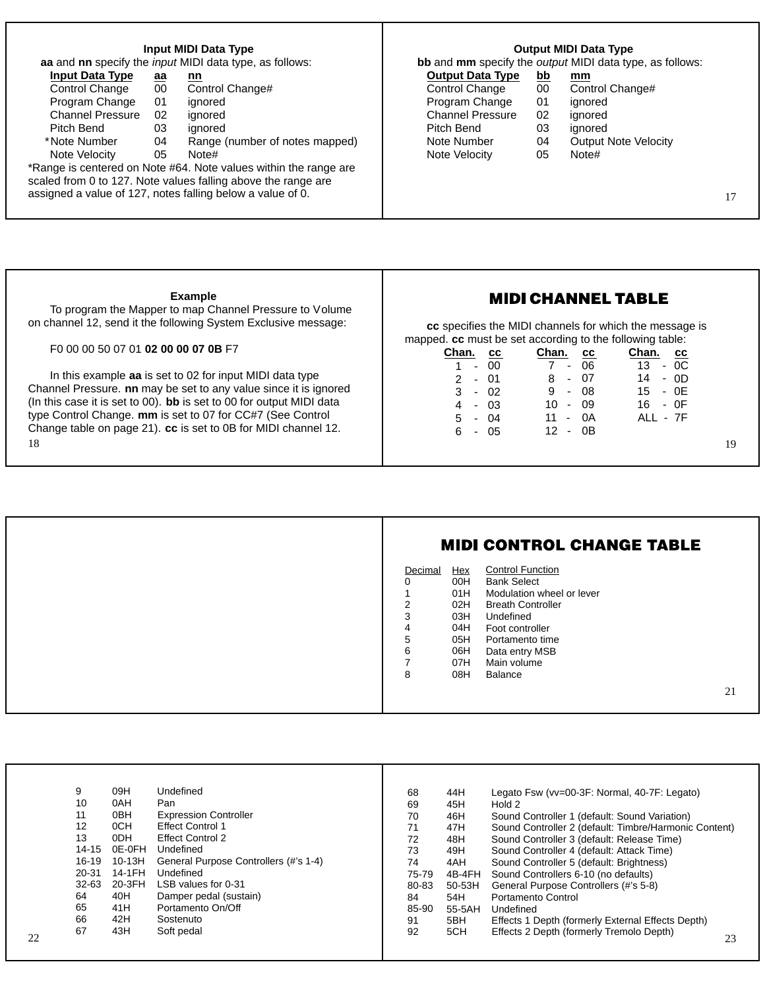| Input MIDI Data Type    |                | <b>Output MIDI Data Type</b>                                     |                         |                 |                                                          |  |
|-------------------------|----------------|------------------------------------------------------------------|-------------------------|-----------------|----------------------------------------------------------|--|
|                         |                | aa and nn specify the <i>input</i> MIDI data type, as follows:   |                         |                 | bb and mm specify the output MIDI data type, as follows: |  |
| <b>Input Data Type</b>  | $\overline{a}$ | <u>nn</u>                                                        | <b>Output Data Type</b> | <u>bb</u>       | mm                                                       |  |
| Control Change          | 00             | Control Change#                                                  | Control Change          | 00 <sup>°</sup> | Control Change#                                          |  |
| Program Change          | 01             | ignored                                                          | Program Change          | 01              | ignored                                                  |  |
| <b>Channel Pressure</b> | 02             | ignored                                                          | <b>Channel Pressure</b> | 02              | ignored                                                  |  |
| Pitch Bend              | 03             | ianored                                                          | Pitch Bend              | 03              | ignored                                                  |  |
| *Note Number            | 04             | Range (number of notes mapped)                                   | Note Number             | 04              | <b>Output Note Velocity</b>                              |  |
| Note Velocity           | 05             | Note#                                                            | Note Velocity           | 05              | Note#                                                    |  |
|                         |                | *Range is centered on Note #64. Note values within the range are |                         |                 |                                                          |  |
|                         |                | scaled from 0 to 127. Note values falling above the range are    |                         |                 |                                                          |  |
|                         |                | assigned a value of 127, notes falling below a value of 0.       |                         |                 |                                                          |  |
|                         |                |                                                                  |                         |                 |                                                          |  |
|                         |                |                                                                  |                         |                 |                                                          |  |

Ш

| <b>Example</b><br>To program the Mapper to map Channel Pressure to Volume<br>on channel 12, send it the following System Exclusive message:                                                                                                                                                                                                | <b>MIDI CHANNEL TABLE</b><br>cc specifies the MIDI channels for which the message is                                                                                                                                                                                                                       |  |  |  |  |  |
|--------------------------------------------------------------------------------------------------------------------------------------------------------------------------------------------------------------------------------------------------------------------------------------------------------------------------------------------|------------------------------------------------------------------------------------------------------------------------------------------------------------------------------------------------------------------------------------------------------------------------------------------------------------|--|--|--|--|--|
| F <sub>0</sub> 00 00 50 07 01 <b>02 00 00 07 0B</b> F <sub>7</sub>                                                                                                                                                                                                                                                                         | mapped. cc must be set according to the following table:<br>Chan.<br>Chan.<br>Chan.<br><b>CC</b><br><b>CC</b><br>cс                                                                                                                                                                                        |  |  |  |  |  |
| In this example aa is set to 02 for input MIDI data type<br>Channel Pressure. nn may be set to any value since it is ignored<br>(In this case it is set to 00). bb is set to 00 for output MIDI data<br>type Control Change. mm is set to 07 for CC#7 (See Control<br>Change table on page 21). cc is set to 0B for MIDI channel 12.<br>18 | 06<br>13 <sup>7</sup><br>$-OC$<br>-00<br>$7 -$<br>$\sim$<br>07<br>14<br>8<br>- OD<br>$-01$<br>$\sim$<br>08<br>9<br>- 0E<br>15<br>3<br>$-02$<br>$\sim$<br>09<br>16<br>- 0F<br>$10 -$<br>$-03$<br>4<br>0A<br>ALL - 7F<br>5<br>04<br>11<br>$\sim$<br>$\sim$<br>12<br>0B<br>6<br>-05<br>$\sim$<br>$\sim$<br>19 |  |  |  |  |  |

| Decimal<br>ი<br>$\overline{2}$<br>3<br>4<br>5<br>6<br>8 |
|---------------------------------------------------------|
|                                                         |

|    | 9         | 09H             | Undefined                             | 68    | 44H      | Legato Fsw (vv=00-3F: Normal, 40-7F: Legato)          |
|----|-----------|-----------------|---------------------------------------|-------|----------|-------------------------------------------------------|
|    | 10        | 0AH             | Pan                                   | 69    | 45H      | Hold 2                                                |
|    | 11        | 0 <sub>BH</sub> | <b>Expression Controller</b>          | 70    | 46H      | Sound Controller 1 (default: Sound Variation)         |
|    | 12        | 0CH             | <b>Effect Control 1</b>               | 71    | 47H      | Sound Controller 2 (default: Timbre/Harmonic Content) |
|    | 13        | 0DH             | <b>Effect Control 2</b>               | 72    | 48H      | Sound Controller 3 (default: Release Time)            |
|    | 14-15     | 0E-0FH          | Undefined                             | 73    | 49H      | Sound Controller 4 (default: Attack Time)             |
|    | 16-19     | 10-13H          | General Purpose Controllers (#'s 1-4) | 74    | 4AH      | Sound Controller 5 (default: Brightness)              |
|    | $20 - 31$ | 14-1FH          | Undefined                             | 75-79 | 4B-4FH   | Sound Controllers 6-10 (no defaults)                  |
|    | $32-63$   | 20-3FH          | LSB values for 0-31                   | 80-83 | $50-53H$ | General Purpose Controllers (#'s 5-8)                 |
|    | 64        | 40H             | Damper pedal (sustain)                | 84    | 54H      | Portamento Control                                    |
|    | 65        | 41H             | Portamento On/Off                     | 85-90 | 55-5AH   | Undefined                                             |
|    | 66        | 42H             | Sostenuto                             | 91    | 5BH      | Effects 1 Depth (formerly External Effects Depth)     |
| 22 | 67        | 43H             | Soft pedal                            | 92    | 5CH      | Effects 2 Depth (formerly Tremolo Depth)<br>23        |